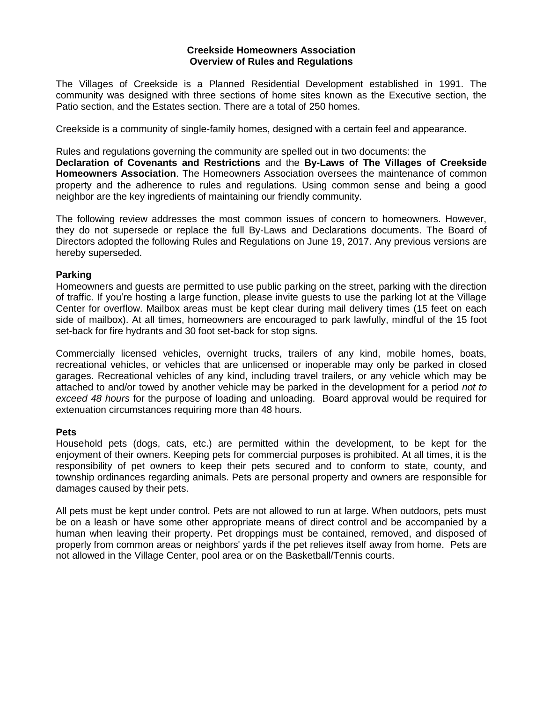#### **Creekside Homeowners Association Overview of Rules and Regulations**

The Villages of Creekside is a Planned Residential Development established in 1991. The community was designed with three sections of home sites known as the Executive section, the Patio section, and the Estates section. There are a total of 250 homes.

Creekside is a community of single-family homes, designed with a certain feel and appearance.

Rules and regulations governing the community are spelled out in two documents: the **Declaration of Covenants and Restrictions** and the **By-Laws of The Villages of Creekside Homeowners Association**. The Homeowners Association oversees the maintenance of common property and the adherence to rules and regulations. Using common sense and being a good neighbor are the key ingredients of maintaining our friendly community.

The following review addresses the most common issues of concern to homeowners. However, they do not supersede or replace the full By-Laws and Declarations documents. The Board of Directors adopted the following Rules and Regulations on June 19, 2017. Any previous versions are hereby superseded.

## **Parking**

Homeowners and guests are permitted to use public parking on the street, parking with the direction of traffic. If you're hosting a large function, please invite guests to use the parking lot at the Village Center for overflow. Mailbox areas must be kept clear during mail delivery times (15 feet on each side of mailbox). At all times, homeowners are encouraged to park lawfully, mindful of the 15 foot set-back for fire hydrants and 30 foot set-back for stop signs.

Commercially licensed vehicles, overnight trucks, trailers of any kind, mobile homes, boats, recreational vehicles, or vehicles that are unlicensed or inoperable may only be parked in closed garages. Recreational vehicles of any kind, including travel trailers, or any vehicle which may be attached to and/or towed by another vehicle may be parked in the development for a period *not to exceed 48 hours* for the purpose of loading and unloading. Board approval would be required for extenuation circumstances requiring more than 48 hours.

### **Pets**

Household pets (dogs, cats, etc.) are permitted within the development, to be kept for the enjoyment of their owners. Keeping pets for commercial purposes is prohibited. At all times, it is the responsibility of pet owners to keep their pets secured and to conform to state, county, and township ordinances regarding animals. Pets are personal property and owners are responsible for damages caused by their pets.

All pets must be kept under control. Pets are not allowed to run at large. When outdoors, pets must be on a leash or have some other appropriate means of direct control and be accompanied by a human when leaving their property. Pet droppings must be contained, removed, and disposed of properly from common areas or neighbors' yards if the pet relieves itself away from home. Pets are not allowed in the Village Center, pool area or on the Basketball/Tennis courts.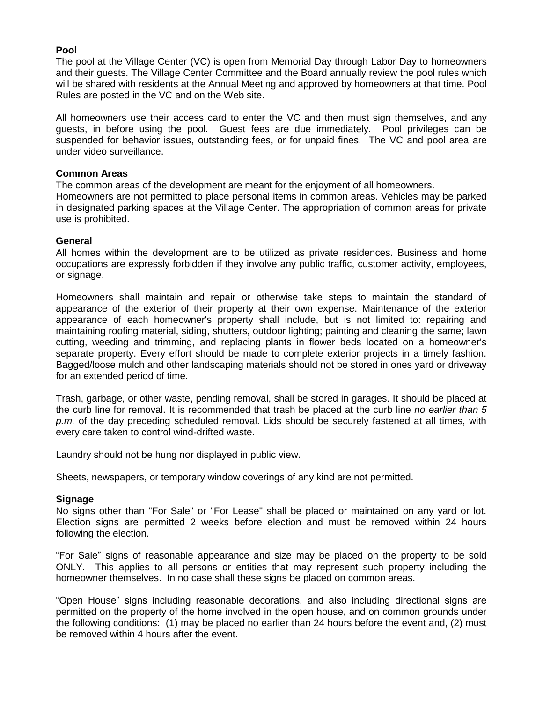## **Pool**

The pool at the Village Center (VC) is open from Memorial Day through Labor Day to homeowners and their guests. The Village Center Committee and the Board annually review the pool rules which will be shared with residents at the Annual Meeting and approved by homeowners at that time. Pool Rules are posted in the VC and on the Web site.

All homeowners use their access card to enter the VC and then must sign themselves, and any guests, in before using the pool. Guest fees are due immediately. Pool privileges can be suspended for behavior issues, outstanding fees, or for unpaid fines. The VC and pool area are under video surveillance.

### **Common Areas**

The common areas of the development are meant for the enjoyment of all homeowners. Homeowners are not permitted to place personal items in common areas. Vehicles may be parked in designated parking spaces at the Village Center. The appropriation of common areas for private use is prohibited.

## **General**

All homes within the development are to be utilized as private residences. Business and home occupations are expressly forbidden if they involve any public traffic, customer activity, employees, or signage.

Homeowners shall maintain and repair or otherwise take steps to maintain the standard of appearance of the exterior of their property at their own expense. Maintenance of the exterior appearance of each homeowner's property shall include, but is not limited to: repairing and maintaining roofing material, siding, shutters, outdoor lighting; painting and cleaning the same; lawn cutting, weeding and trimming, and replacing plants in flower beds located on a homeowner's separate property. Every effort should be made to complete exterior projects in a timely fashion. Bagged/loose mulch and other landscaping materials should not be stored in ones yard or driveway for an extended period of time.

Trash, garbage, or other waste, pending removal, shall be stored in garages. It should be placed at the curb line for removal. It is recommended that trash be placed at the curb line *no earlier than 5 p.m.* of the day preceding scheduled removal. Lids should be securely fastened at all times, with every care taken to control wind-drifted waste.

Laundry should not be hung nor displayed in public view.

Sheets, newspapers, or temporary window coverings of any kind are not permitted.

### **Signage**

No signs other than "For Sale" or "For Lease" shall be placed or maintained on any yard or lot. Election signs are permitted 2 weeks before election and must be removed within 24 hours following the election.

"For Sale" signs of reasonable appearance and size may be placed on the property to be sold ONLY. This applies to all persons or entities that may represent such property including the homeowner themselves. In no case shall these signs be placed on common areas.

"Open House" signs including reasonable decorations, and also including directional signs are permitted on the property of the home involved in the open house, and on common grounds under the following conditions: (1) may be placed no earlier than 24 hours before the event and, (2) must be removed within 4 hours after the event.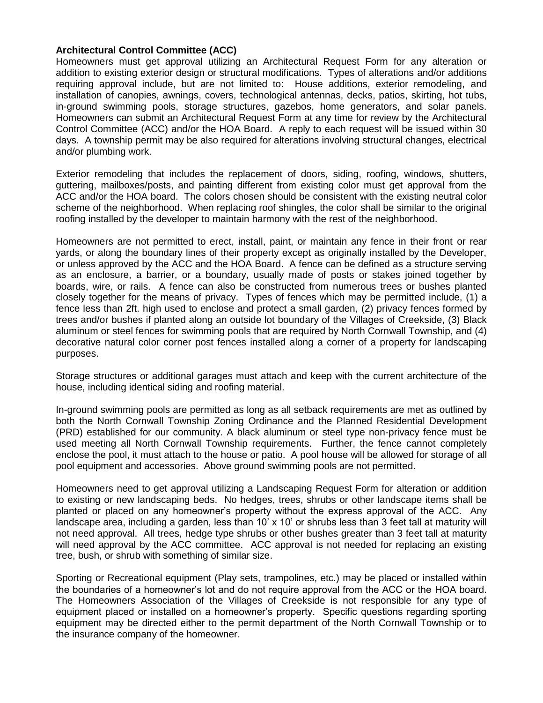## **Architectural Control Committee (ACC)**

Homeowners must get approval utilizing an Architectural Request Form for any alteration or addition to existing exterior design or structural modifications. Types of alterations and/or additions requiring approval include, but are not limited to: House additions, exterior remodeling, and installation of canopies, awnings, covers, technological antennas, decks, patios, skirting, hot tubs, in-ground swimming pools, storage structures, gazebos, home generators, and solar panels. Homeowners can submit an Architectural Request Form at any time for review by the Architectural Control Committee (ACC) and/or the HOA Board. A reply to each request will be issued within 30 days. A township permit may be also required for alterations involving structural changes, electrical and/or plumbing work.

Exterior remodeling that includes the replacement of doors, siding, roofing, windows, shutters, guttering, mailboxes/posts, and painting different from existing color must get approval from the ACC and/or the HOA board. The colors chosen should be consistent with the existing neutral color scheme of the neighborhood. When replacing roof shingles, the color shall be similar to the original roofing installed by the developer to maintain harmony with the rest of the neighborhood.

Homeowners are not permitted to erect, install, paint, or maintain any fence in their front or rear yards, or along the boundary lines of their property except as originally installed by the Developer, or unless approved by the ACC and the HOA Board. A fence can be defined as a structure serving as an enclosure, a barrier, or a boundary, usually made of posts or stakes joined together by boards, wire, or rails. A fence can also be constructed from numerous trees or bushes planted closely together for the means of privacy. Types of fences which may be permitted include, (1) a fence less than 2ft. high used to enclose and protect a small garden, (2) privacy fences formed by trees and/or bushes if planted along an outside lot boundary of the Villages of Creekside, (3) Black aluminum or steel fences for swimming pools that are required by North Cornwall Township, and (4) decorative natural color corner post fences installed along a corner of a property for landscaping purposes.

Storage structures or additional garages must attach and keep with the current architecture of the house, including identical siding and roofing material.

In-ground swimming pools are permitted as long as all setback requirements are met as outlined by both the North Cornwall Township Zoning Ordinance and the Planned Residential Development (PRD) established for our community. A black aluminum or steel type non-privacy fence must be used meeting all North Cornwall Township requirements. Further, the fence cannot completely enclose the pool, it must attach to the house or patio. A pool house will be allowed for storage of all pool equipment and accessories. Above ground swimming pools are not permitted.

Homeowners need to get approval utilizing a Landscaping Request Form for alteration or addition to existing or new landscaping beds. No hedges, trees, shrubs or other landscape items shall be planted or placed on any homeowner's property without the express approval of the ACC. Any landscape area, including a garden, less than 10' x 10' or shrubs less than 3 feet tall at maturity will not need approval. All trees, hedge type shrubs or other bushes greater than 3 feet tall at maturity will need approval by the ACC committee. ACC approval is not needed for replacing an existing tree, bush, or shrub with something of similar size.

Sporting or Recreational equipment (Play sets, trampolines, etc.) may be placed or installed within the boundaries of a homeowner's lot and do not require approval from the ACC or the HOA board. The Homeowners Association of the Villages of Creekside is not responsible for any type of equipment placed or installed on a homeowner's property. Specific questions regarding sporting equipment may be directed either to the permit department of the North Cornwall Township or to the insurance company of the homeowner.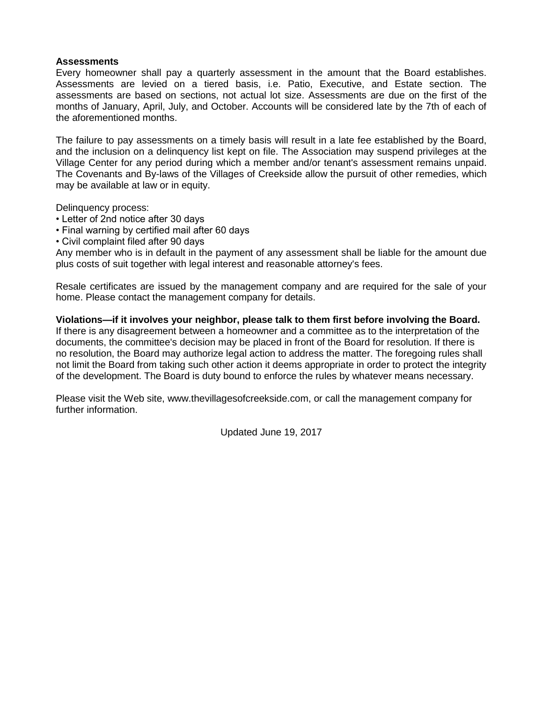### **Assessments**

Every homeowner shall pay a quarterly assessment in the amount that the Board establishes. Assessments are levied on a tiered basis, i.e. Patio, Executive, and Estate section. The assessments are based on sections, not actual lot size. Assessments are due on the first of the months of January, April, July, and October. Accounts will be considered late by the 7th of each of the aforementioned months.

The failure to pay assessments on a timely basis will result in a late fee established by the Board, and the inclusion on a delinquency list kept on file. The Association may suspend privileges at the Village Center for any period during which a member and/or tenant's assessment remains unpaid. The Covenants and By-laws of the Villages of Creekside allow the pursuit of other remedies, which may be available at law or in equity.

Delinquency process:

- Letter of 2nd notice after 30 days
- Final warning by certified mail after 60 days
- Civil complaint filed after 90 days

Any member who is in default in the payment of any assessment shall be liable for the amount due plus costs of suit together with legal interest and reasonable attorney's fees.

Resale certificates are issued by the management company and are required for the sale of your home. Please contact the management company for details.

**Violations—if it involves your neighbor, please talk to them first before involving the Board.**  If there is any disagreement between a homeowner and a committee as to the interpretation of the documents, the committee's decision may be placed in front of the Board for resolution. If there is no resolution, the Board may authorize legal action to address the matter. The foregoing rules shall not limit the Board from taking such other action it deems appropriate in order to protect the integrity of the development. The Board is duty bound to enforce the rules by whatever means necessary.

Please visit the Web site, www.thevillagesofcreekside.com, or call the management company for further information.

Updated June 19, 2017